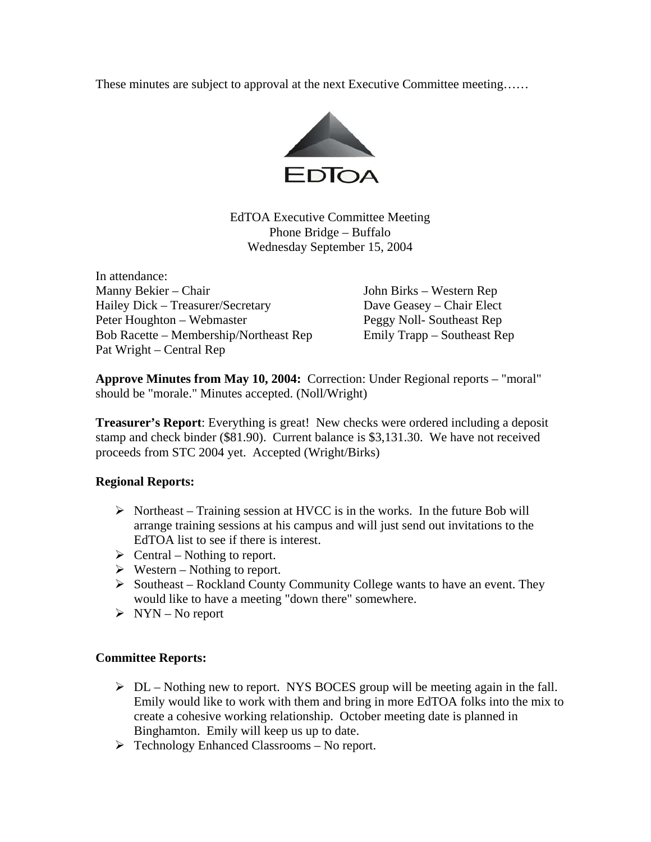These minutes are subject to approval at the next Executive Committee meeting……



EdTOA Executive Committee Meeting Phone Bridge – Buffalo Wednesday September 15, 2004

In attendance: Manny Bekier – Chair John Birks – Western Rep Hailey Dick – Treasurer/Secretary Dave Geasey – Chair Elect Peter Houghton – Webmaster Peggy Noll- Southeast Rep Bob Racette – Membership/Northeast Rep Emily Trapp – Southeast Rep Pat Wright – Central Rep

**Approve Minutes from May 10, 2004:** Correction: Under Regional reports – "moral" should be "morale." Minutes accepted. (Noll/Wright)

**Treasurer's Report**: Everything is great! New checks were ordered including a deposit stamp and check binder (\$81.90). Current balance is \$3,131.30. We have not received proceeds from STC 2004 yet. Accepted (Wright/Birks)

## **Regional Reports:**

- $\triangleright$  Northeast Training session at HVCC is in the works. In the future Bob will arrange training sessions at his campus and will just send out invitations to the EdTOA list to see if there is interest.
- $\triangleright$  Central Nothing to report.
- $\triangleright$  Western Nothing to report.
- $\triangleright$  Southeast Rockland County Community College wants to have an event. They would like to have a meeting "down there" somewhere.
- $\triangleright$  NYN No report

## **Committee Reports:**

- $\triangleright$  DL Nothing new to report. NYS BOCES group will be meeting again in the fall. Emily would like to work with them and bring in more EdTOA folks into the mix to create a cohesive working relationship. October meeting date is planned in Binghamton. Emily will keep us up to date.
- ¾ Technology Enhanced Classrooms No report.